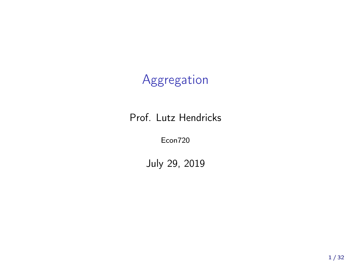## Aggregation

Prof. Lutz Hendricks

Econ720

July 29, 2019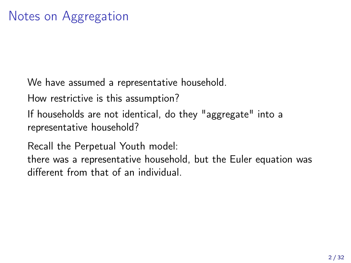We have assumed a representative household.

How restrictive is this assumption?

If households are not identical, do they "aggregate" into a representative household?

Recall the Perpetual Youth model:

there was a representative household, but the Euler equation was different from that of an individual.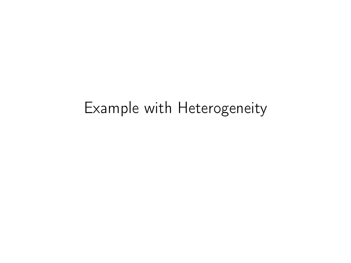# Example with Heterogeneity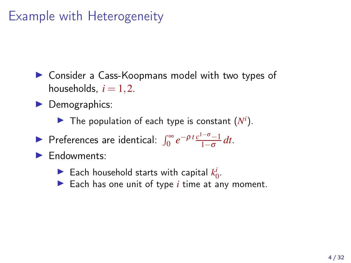## Example with Heterogeneity

▶ Consider a Cass-Koopmans model with two types of households,  $i = 1, 2$ .

▶ Demographics:

The population of each type is constant  $(N<sup>i</sup>)$ .

► Preferences are identical:  $\int_0^\infty e^{-\rho t} \frac{c^{1-\sigma}-1}{1-\sigma}$ 1−<sup>σ</sup> *dt*.

Endowments:

Each household starts with capital  $k_0^i$ .

▶ Each has one unit of type *i* time at any moment.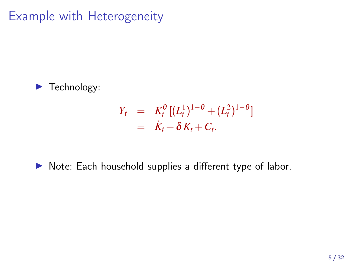Example with Heterogeneity



$$
Y_t = K_t^{\theta} [(L_t^1)^{1-\theta} + (L_t^2)^{1-\theta}]
$$
  
=  $K_t + \delta K_t + C_t.$ 

#### ▶ Note: Each household supplies a different type of labor.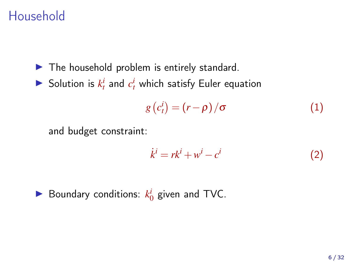## Household

- $\blacktriangleright$  The household problem is entirely standard.
- $\blacktriangleright$  Solution is  $k_t^i$  and  $c_t^i$  which satisfy Euler equation

$$
g\left(c_t^i\right) = \left(r - \rho\right)/\sigma\tag{1}
$$

and budget constraint:

$$
\dot{k}^i = rk^i + w^i - c^i \tag{2}
$$

► Boundary conditions: 
$$
k_0^i
$$
 given and TVC.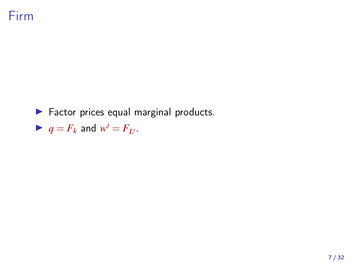### Firm

▶ Factor prices equal marginal products.

$$
\blacktriangleright q = F_k \text{ and } w^i = F_{L^i}.
$$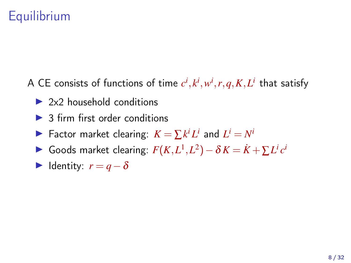## **Equilibrium**

A CE consists of functions of time  $c^i, k^i, w^i, r, q, K, L^i$  that satisfy

- $\triangleright$  2x2 household conditions
- $\triangleright$  3 firm first order conditions
- ▶ Factor market clearing:  $K = \sum k^i L^i$  and  $L^i = N^i$
- ► Goods market clearing:  $F(K, L^1, L^2) \delta K = \dot{K} + \sum L^i c^i$
- $\blacktriangleright$  Identity:  $r = q \delta$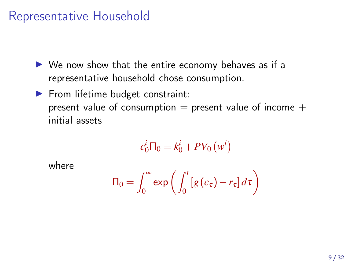### Representative Household

- $\triangleright$  We now show that the entire economy behaves as if a representative household chose consumption.
- ▶ From lifetime budget constraint: present value of consumption  $=$  present value of income  $+$ initial assets

$$
c_0^i \Pi_0 = k_0^i + PV_0 \left( w^i \right)
$$

where

$$
\Pi_0 = \int_0^\infty \exp\left(\int_0^t \left[g\left(c_\tau\right) - r_\tau\right] d\tau\right)
$$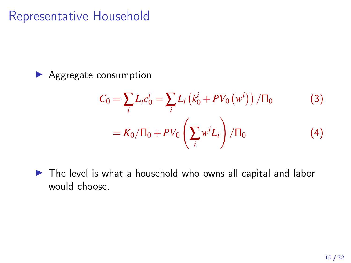### Representative Household

▶ Aggregate consumption

$$
C_0 = \sum_{i} L_i c_0^i = \sum_{i} L_i (k_0^i + PV_0 (w^i)) / \Pi_0
$$
 (3)  
=  $K_0 / \Pi_0 + PV_0 \left( \sum_{i} w^i L_i \right) / \Pi_0$  (4)

▶ The level is what a household who owns all capital and labor would choose.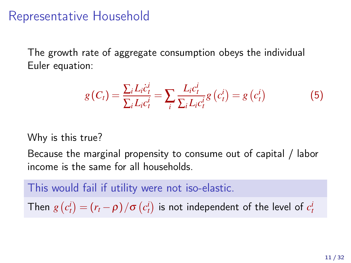### Representative Household

The growth rate of aggregate consumption obeys the individual Euler equation:

$$
g(C_t) = \frac{\sum_{i} L_i \dot{c}_t^i}{\sum_{i} L_i c_t^i} = \sum_{i} \frac{L_i c_t^i}{\sum_{i} L_i c_t^i} g(c_t^i) = g(c_t^i)
$$
(5)

Why is this true?

Because the marginal propensity to consume out of capital / labor income is the same for all households.

This would fail if utility were not iso-elastic.

Then  $g\left(c_{t}^{i}\right)=\left(r_{t}-\rho\right)/\sigma\left(c_{t}^{i}\right)$  is not independent of the level of  $c_{t}^{i}$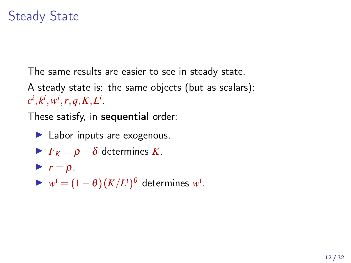## Steady State

The same results are easier to see in steady state. A steady state is: the same objects (but as scalars):  $c^i, k^i, w^i, r, q, K, L^i$ .

These satisfy, in sequential order:

 $\blacktriangleright$  Labor inputs are exogenous.

$$
\blacktriangleright F_K = \rho + \delta \text{ determines } K.
$$

 $\blacktriangleright$   $r = \rho$ . ►  $w^i = (1 - \theta)(K/L^i)^{\theta}$  determines  $w^i$ .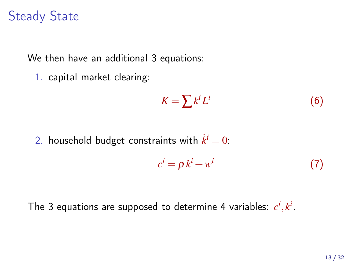## Steady State

We then have an additional 3 equations:

1. capital market clearing:

$$
K = \sum k^i L^i \tag{6}
$$

2. household budget constraints with  $\dot{k}^i = 0$ :

$$
c^i = \rho k^i + w^i \tag{7}
$$

The 3 equations are supposed to determine 4 variables:  $c^i, k^i.$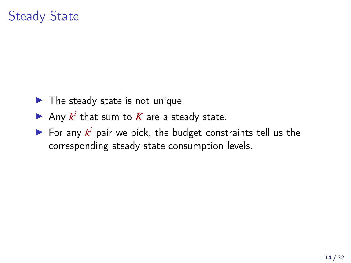## Steady State

- $\blacktriangleright$  The steady state is not unique.
- Any  $k^i$  that sum to  $K$  are a steady state.
- $\blacktriangleright$  For any  $k^i$  pair we pick, the budget constraints tell us the corresponding steady state consumption levels.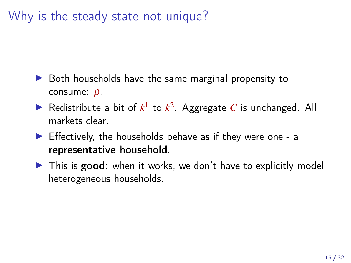## Why is the steady state not unique?

- $\triangleright$  Both households have the same marginal propensity to consume: ρ.
- Redistribute a bit of  $k^1$  to  $k^2$ . Aggregate *C* is unchanged. All markets clear.
- $\blacktriangleright$  Effectively, the households behave as if they were one a representative household.
- ▶ This is good: when it works, we don't have to explicitly model heterogeneous households.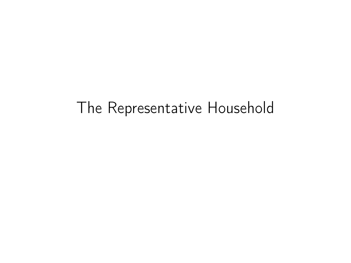# The Representative Household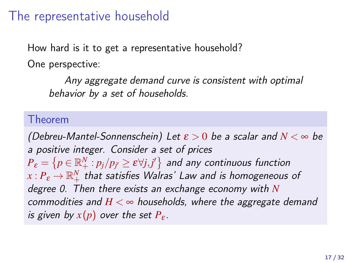### The representative household

How hard is it to get a representative household? One perspective:

Any aggregate demand curve is consistent with optimal behavior by a set of households.

#### Theorem

(Debreu-Mantel-Sonnenschein) Let  $\varepsilon > 0$  be a scalar and  $N < \infty$  be a positive integer. Consider a set of prices  $P_{\bm{\varepsilon}}=\left\{p\in\mathbb{R}_{+}^{N}:p_{j}/p_{j^{\prime}}\geq\bm{\varepsilon}\forall j,j^{\prime}\right\}$  and any continuous function  $x$  :  ${P}_{\varepsilon}\mathop{\to}\mathbb{R}^{N}_{+}$  that satisfies Walras' Law and is homogeneous of degree 0. Then there exists an exchange economy with *N* commodities and  $H < \infty$  households, where the aggregate demand is given by  $x(p)$  over the set  $P_{\varepsilon}$ .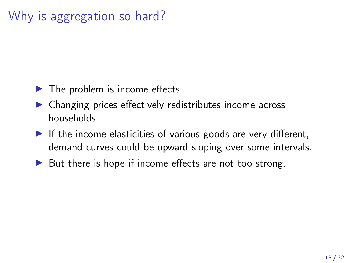## Why is aggregation so hard?

- $\blacktriangleright$  The problem is income effects.
- ▶ Changing prices effectively redistributes income across households.
- $\blacktriangleright$  If the income elasticities of various goods are very different, demand curves could be upward sloping over some intervals.
- $\triangleright$  But there is hope if income effects are not too strong.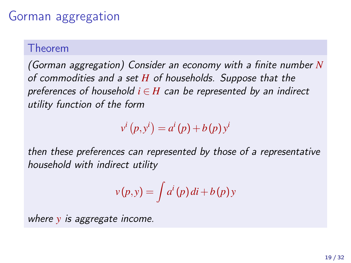### Gorman aggregation

#### Theorem

(Gorman aggregation) Consider an economy with a finite number *N* of commodities and a set *H* of households. Suppose that the preferences of household  $i \in H$  can be represented by an indirect utility function of the form

 $v^i(p, y^i) = a^i(p) + b(p)y^i$ 

then these preferences can represented by those of a representative household with indirect utility

$$
v(p, y) = \int a^i(p) \, di + b(p) \, y
$$

where *y* is aggregate income.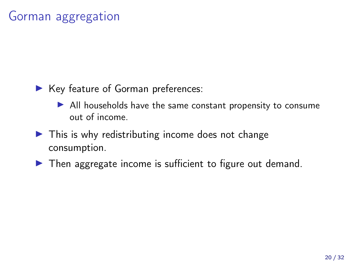### Gorman aggregation

- ▶ Key feature of Gorman preferences:
	- ▶ All households have the same constant propensity to consume out of income.
- $\blacktriangleright$  This is why redistributing income does not change consumption.
- ▶ Then aggregate income is sufficient to figure out demand.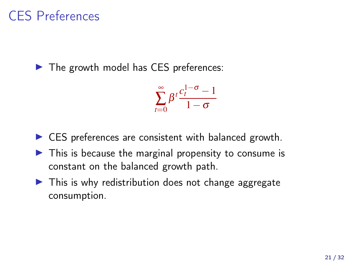## CES Preferences

▶ The growth model has CES preferences:

$$
\sum_{t=0}^{\infty}\beta^t\frac{c_t^{1-\sigma}-1}{1-\sigma}
$$

- $\triangleright$  CES preferences are consistent with balanced growth.
- $\triangleright$  This is because the marginal propensity to consume is constant on the balanced growth path.
- $\triangleright$  This is why redistribution does not change aggregate consumption.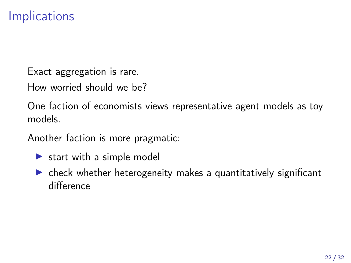## Implications

Exact aggregation is rare.

How worried should we be?

One faction of economists views representative agent models as toy models.

Another faction is more pragmatic:

- $\triangleright$  start with a simple model
- $\triangleright$  check whether heterogeneity makes a quantitatively significant difference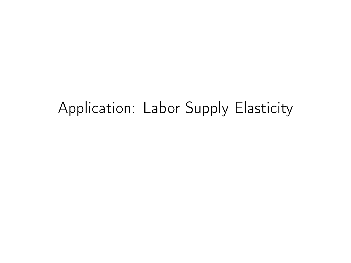# Application: Labor Supply Elasticity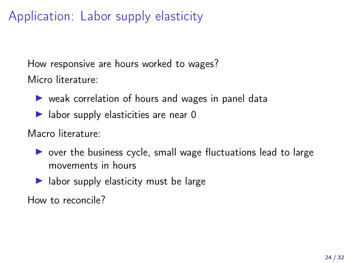## Application: Labor supply elasticity

How responsive are hours worked to wages? Micro literature:

- ▶ weak correlation of hours and wages in panel data
- $\blacktriangleright$  labor supply elasticities are near 0

Macro literature:

- $\triangleright$  over the business cycle, small wage fluctuations lead to large movements in hours
- $\blacktriangleright$  labor supply elasticity must be large

How to reconcile?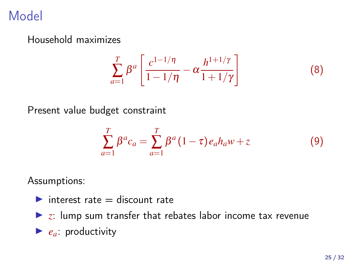## Model

Household maximizes

$$
\sum_{a=1}^{T} \beta^a \left[ \frac{c^{1-1/\eta}}{1-1/\eta} - \alpha \frac{h^{1+1/\gamma}}{1+1/\gamma} \right]
$$
 (8)

Present value budget constraint

$$
\sum_{a=1}^{T} \beta^{a} c_{a} = \sum_{a=1}^{T} \beta^{a} (1 - \tau) e_{a} h_{a} w + z \tag{9}
$$

Assumptions:

- $\blacktriangleright$  interest rate  $=$  discount rate
- $\triangleright$  z: lump sum transfer that rebates labor income tax revenue
- $\blacktriangleright$  *e<sub>a</sub>*: productivity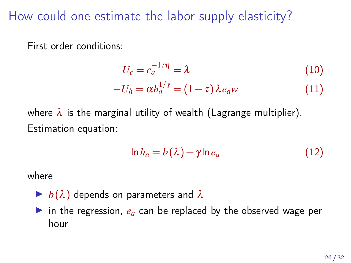How could one estimate the labor supply elasticity?

First order conditions:

$$
U_c = c_a^{-1/\eta} = \lambda \tag{10}
$$

$$
-U_h = \alpha h_a^{1/\gamma} = (1 - \tau) \lambda e_a w \qquad (11)
$$

where  $\lambda$  is the marginal utility of wealth (Lagrange multiplier). Estimation equation:

$$
\ln h_a = b(\lambda) + \gamma \ln e_a \tag{12}
$$

where

- $\blacktriangleright$   $b(\lambda)$  depends on parameters and  $\lambda$
- ▶ in the regression,  $e_a$  can be replaced by the observed wage per hour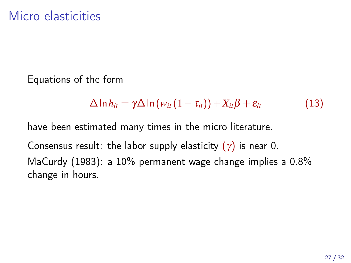Equations of the form

$$
\Delta \ln h_{it} = \gamma \Delta \ln \left( w_{it} \left( 1 - \tau_{it} \right) \right) + X_{it} \beta + \varepsilon_{it} \tag{13}
$$

have been estimated many times in the micro literature.

Consensus result: the labor supply elasticity  $(\gamma)$  is near 0. [MaCurdy \(1983](#page-31-0)): a 10% permanent wage change implies a 0.8% change in hours.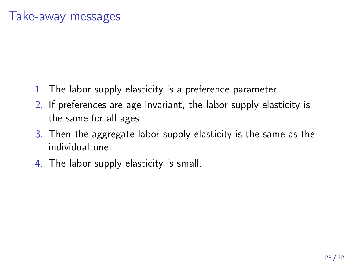- 1. The labor supply elasticity is a preference parameter.
- 2. If preferences are age invariant, the labor supply elasticity is the same for all ages.
- 3. Then the aggregate labor supply elasticity is the same as the individual one.
- 4. The labor supply elasticity is small.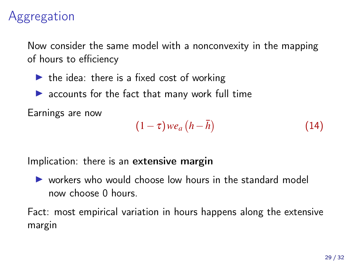## Aggregation

Now consider the same model with a nonconvexity in the mapping of hours to efficiency

- $\triangleright$  the idea: there is a fixed cost of working
- $\blacktriangleright$  accounts for the fact that many work full time

Earnings are now

$$
(1 - \tau) \, w e_a \left( h - \bar{h} \right) \tag{14}
$$

Implication: there is an extensive margin

▶ workers who would choose low hours in the standard model now choose 0 hours.

Fact: most empirical variation in hours happens along the extensive margin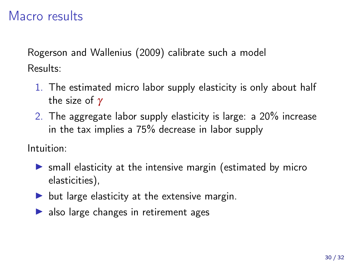### Macro results

[Rogerson and Wallenius \(2009\)](#page-31-1) calibrate such a model Results:

- 1. The estimated micro labor supply elasticity is only about half the size of  $\gamma$
- 2. The aggregate labor supply elasticity is large: a 20% increase in the tax implies a 75% decrease in labor supply

Intuition:

- ▶ small elasticity at the intensive margin (estimated by micro elasticities),
- $\triangleright$  but large elasticity at the extensive margin.
- $\triangleright$  also large changes in retirement ages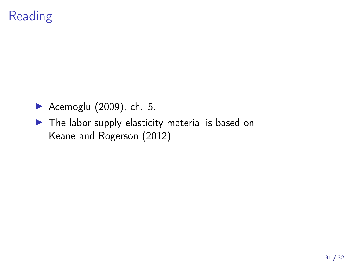## Reading

- [Acemoglu \(2009\)](#page-31-2), ch. 5.
- ▶ The labor supply elasticity material is based on [Keane and Rogerson \(2012\)](#page-31-3)